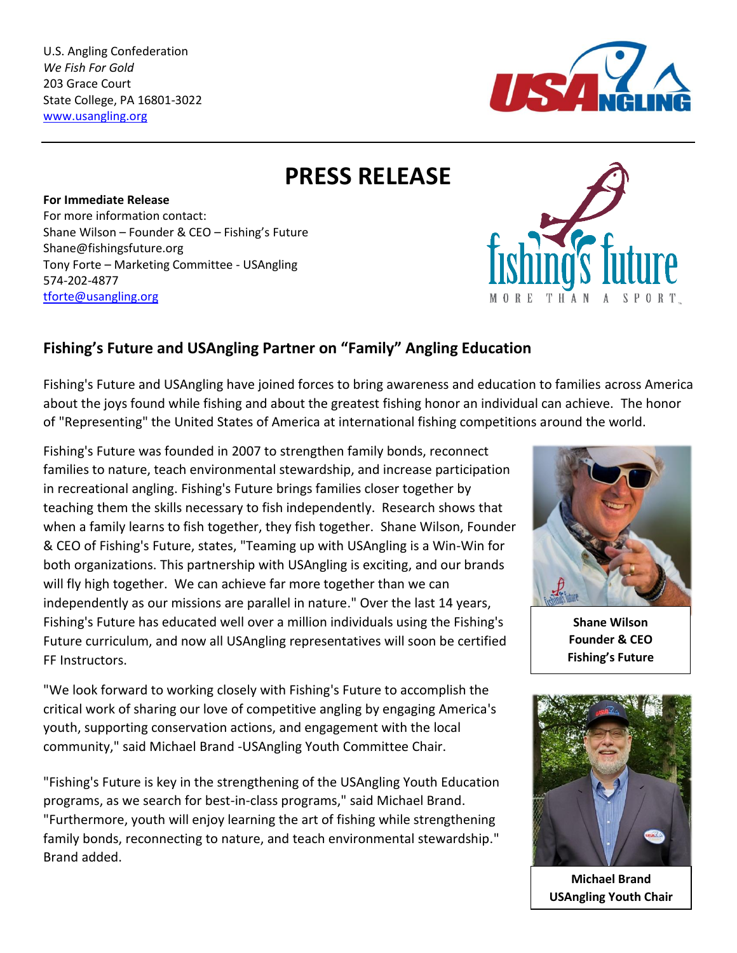U.S. Angling Confederation *We Fish For Gold* 203 Grace Court State College, PA 16801-3022 [www.usangling.org](http://www.usangling.org/)



**PRESS RELEASE**

**For Immediate Release** For more information contact: Shane Wilson – Founder & CEO – Fishing's Future Shane@fishingsfuture.org Tony Forte – Marketing Committee - USAngling 574-202-4877 [tforte@usangling.org](mailto:tforte@usangling.org)



## **Fishing's Future and USAngling Partner on "Family" Angling Education**

Fishing's Future and USAngling have joined forces to bring awareness and education to families across America about the joys found while fishing and about the greatest fishing honor an individual can achieve. The honor of "Representing" the United States of America at international fishing competitions around the world.

Fishing's Future was founded in 2007 to strengthen family bonds, reconnect families to nature, teach environmental stewardship, and increase participation in recreational angling. Fishing's Future brings families closer together by teaching them the skills necessary to fish independently. Research shows that when a family learns to fish together, they fish together. Shane Wilson, Founder & CEO of Fishing's Future, states, "Teaming up with USAngling is a Win-Win for both organizations. This partnership with USAngling is exciting, and our brands will fly high together. We can achieve far more together than we can independently as our missions are parallel in nature." Over the last 14 years, Fishing's Future has educated well over a million individuals using the Fishing's Future curriculum, and now all USAngling representatives will soon be certified FF Instructors.

"We look forward to working closely with Fishing's Future to accomplish the critical work of sharing our love of competitive angling by engaging America's youth, supporting conservation actions, and engagement with the local community," said Michael Brand -USAngling Youth Committee Chair.

"Fishing's Future is key in the strengthening of the USAngling Youth Education programs, as we search for best-in-class programs," said Michael Brand. "Furthermore, youth will enjoy learning the art of fishing while strengthening family bonds, reconnecting to nature, and teach environmental stewardship." Brand added.



**Shane Wilson Founder & CEO Fishing's Future**



**Michael Brand USAngling Youth Chair**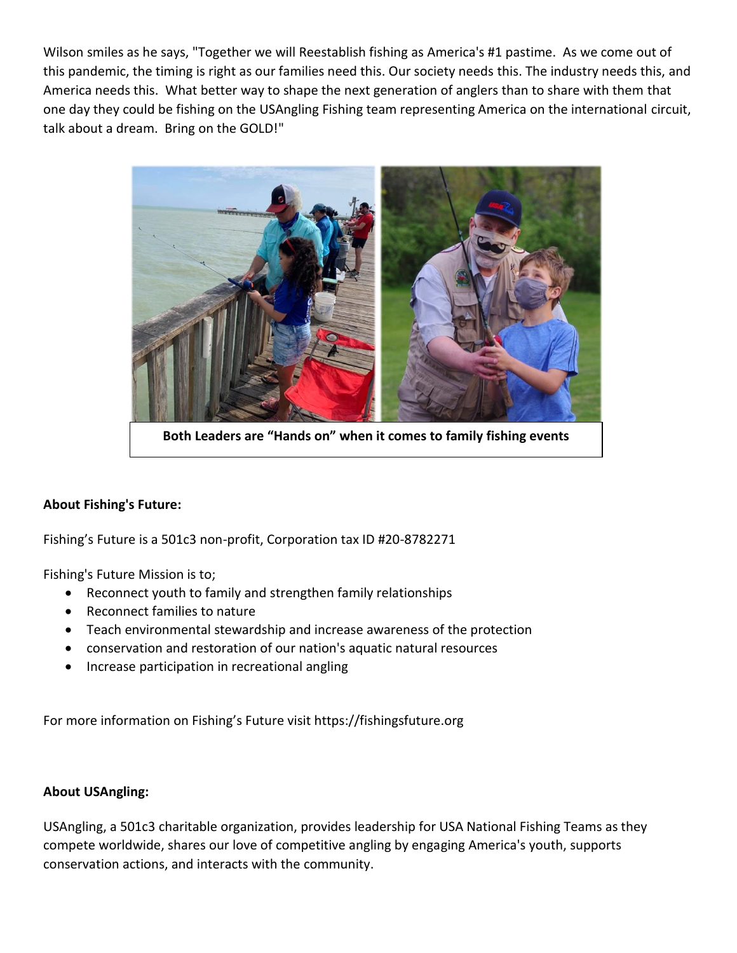Wilson smiles as he says, "Together we will Reestablish fishing as America's #1 pastime. As we come out of this pandemic, the timing is right as our families need this. Our society needs this. The industry needs this, and America needs this. What better way to shape the next generation of anglers than to share with them that one day they could be fishing on the USAngling Fishing team representing America on the international circuit, talk about a dream. Bring on the GOLD!"



**Both Leaders are "Hands on" when it comes to family fishing events**

## **About Fishing's Future:**

Fishing's Future is a 501c3 non-profit, Corporation tax ID #20-8782271

Fishing's Future Mission is to;

- Reconnect youth to family and strengthen family relationships
- Reconnect families to nature
- Teach environmental stewardship and increase awareness of the protection
- conservation and restoration of our nation's aquatic natural resources
- Increase participation in recreational angling

For more information on Fishing's Future visit https://fishingsfuture.org

## **About USAngling:**

USAngling, a 501c3 charitable organization, provides leadership for USA National Fishing Teams as they compete worldwide, shares our love of competitive angling by engaging America's youth, supports conservation actions, and interacts with the community.